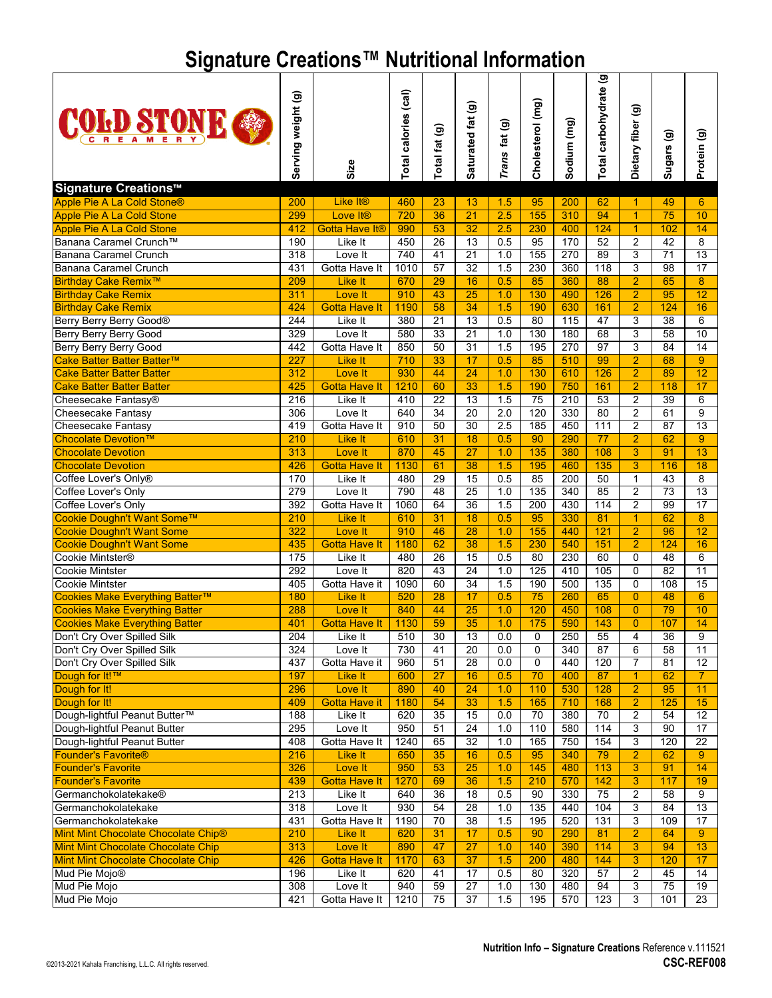## **Signature Creations™ Nutritional Information**

| <b>COFD STONE</b>                                                    | Serving weight (g) |                                               | Total calories (cal) | Total fat (g)   | Saturated fat (g)     | Trans fat (g) | Cholesterol (mg)    | Sodium (mg) | Total carbohydrate (g | Dietary fiber (g)    | Sugars (g)      | Protein (g)             |
|----------------------------------------------------------------------|--------------------|-----------------------------------------------|----------------------|-----------------|-----------------------|---------------|---------------------|-------------|-----------------------|----------------------|-----------------|-------------------------|
|                                                                      |                    | Size                                          |                      |                 |                       |               |                     |             |                       |                      |                 |                         |
| <b>Signature Creations™</b>                                          |                    |                                               |                      |                 |                       |               |                     |             |                       |                      |                 |                         |
| Apple Pie A La Cold Stone®                                           | 200                | Like It <sup>®</sup>                          | 460                  | 23              | 13                    | 1.5           | 95<br>155           | 200         | 62<br>94              | $\blacktriangleleft$ | 49              | 6                       |
| <b>Apple Pie A La Cold Stone</b><br><b>Apple Pie A La Cold Stone</b> | 299<br>412         | Love It <sup>®</sup><br><b>Gotta Have It®</b> | 720<br>990           | 36<br>53        | $\overline{21}$<br>32 | 2.5<br>2.5    | 230                 | 310<br>400  | 124                   | 1<br>$\overline{1}$  | 75<br>102       | 10<br>14                |
| Banana Caramel Crunch™                                               | 190                | Like It                                       | 450                  | 26              | $\overline{13}$       | 0.5           | 95                  | 170         | 52                    | $\overline{c}$       | $\overline{42}$ | $\overline{8}$          |
| Banana Caramel Crunch                                                | 318                | Love It                                       | 740                  | 41              | 21                    | 1.0           | 155                 | 270         | 89                    | 3                    | 71              | 13                      |
| Banana Caramel Crunch                                                | 431                | Gotta Have It                                 | 1010                 | $\overline{57}$ | $\overline{32}$       | 1.5           | 230                 | 360         | 118                   | 3                    | $\overline{98}$ | $\overline{17}$         |
| <b>Birthday Cake Remix™</b>                                          | 209                | Like It                                       | 670                  | 29              | 16                    | 0.5           | 85                  | 360         | 88                    | $\overline{2}$       | 65              | $\overline{8}$          |
| <b>Birthday Cake Remix</b>                                           | 311                | Love It                                       | 910                  | 43              | $\overline{25}$       | 1.0           | 130                 | 490         | 126                   | $\overline{2}$       | 95              | 12                      |
| <b>Birthday Cake Remix</b>                                           | 424                | <b>Gotta Have It</b>                          | 1190                 | 58              | 34                    | 1.5           | 190                 | 630         | 161                   | $\overline{2}$       | 124             | 16                      |
| Berry Berry Berry Good®                                              | 244                | Like It                                       | 380                  | 21              | 13                    | 0.5           | 80                  | 115         | 47                    | 3                    | 38              | 6                       |
| Berry Berry Berry Good                                               | 329                | Love It                                       | 580                  | 33              | 21                    | 1.0           | 130                 | 180         | 68                    | 3                    | 58              | 10                      |
| <b>Berry Berry Berry Good</b>                                        | 442                | Gotta Have It                                 | 850                  | 50              | $\overline{31}$       | 1.5           | 195                 | 270         | 97                    | 3                    | 84              | 14                      |
| Cake Batter Batter Batter™                                           | 227                | <b>Like It</b>                                | 710                  | 33              | 17                    | 0.5           | 85                  | 510         | 99                    | $\overline{2}$       | 68              | 9                       |
| <b>Cake Batter Batter Batter</b>                                     | 312                | Love It                                       | 930                  | 44              | $\overline{24}$       | 1.0           | 130                 | 610         | 126                   | $\overline{2}$       | 89              | 12                      |
| <b>Cake Batter Batter Batter</b>                                     | 425                | <b>Gotta Have It</b>                          | 1210                 | 60              | 33                    | 1.5           | 190                 | 750         | 161                   | $\overline{2}$       | 118             | 17                      |
| Cheesecake Fantasy®                                                  | $\overline{216}$   | Like It                                       | 410                  | 22              | $\overline{13}$       | 1.5           | 75                  | 210         | 53                    | $\overline{2}$       | $\overline{39}$ | 6                       |
| Cheesecake Fantasy                                                   | 306                | Love It                                       | 640                  | 34              | 20                    | 2.0           | 120                 | 330         | 80                    | $\overline{c}$       | 61              | 9                       |
| Cheesecake Fantasy                                                   | 419                | Gotta Have It                                 | 910                  | 50              | $\overline{30}$       | 2.5           | 185                 | 450         | 111                   | $\overline{2}$       | $\overline{87}$ | $\overline{13}$         |
| Chocolate Devotion™                                                  | 210                | Like It                                       | 610                  | 31              | $\overline{18}$       | 0.5           | 90                  | 290         | 77                    | $\overline{2}$       | 62              | 9                       |
| <b>Chocolate Devotion</b>                                            | 313                | Love It                                       | 870                  | 45              | $\overline{27}$       | 1.0           | 135                 | 380         | 108                   | 3                    | 91              | 13                      |
| <b>Chocolate Devotion</b>                                            | 426                | <b>Gotta Have It</b>                          | 1130                 | 61              | 38                    | 1.5           | 195                 | 460         | 135                   | 3                    | 116             | 18                      |
| Coffee Lover's Only®                                                 | 170                | Like It                                       | 480                  | 29              | 15                    | 0.5           | 85                  | 200         | 50                    | $\mathbf{1}$         | $\overline{43}$ | $\overline{\mathbf{8}}$ |
| Coffee Lover's Only                                                  | 279                | Love It                                       | 790                  | 48              | $\overline{25}$       | 1.0           | 135                 | 340         | 85                    | $\overline{c}$       | $\overline{73}$ | 13                      |
| Coffee Lover's Only                                                  | 392                | Gotta Have It                                 | 1060                 | 64              | $\overline{36}$       | 1.5           | 200                 | 430         | 114                   | $\overline{2}$       | 99              | 17                      |
| Cookie Doughn't Want Some™                                           | 210                | Like It                                       | 610                  | 31              | 18                    | 0.5           | 95                  | 330         | 81                    | 1                    | 62              | 8                       |
| <b>Cookie Doughn't Want Some</b>                                     | 322                | Love It                                       | 910                  | 46              | 28                    | 1.0           | 155                 | 440         | 121                   | $\overline{2}$       | 96              | 12                      |
| <b>Cookie Doughn't Want Some</b>                                     | 435                | <b>Gotta Have It</b>                          | 1180                 | 62              | $\overline{38}$       | 1.5           | 230                 | 540         | 151                   | $\overline{2}$       | 124             | 16                      |
| Cookie Mintster®                                                     | 175                | Like It                                       | 480                  | 26              | $\overline{15}$       | 0.5           | 80                  | 230         | 60                    | 0                    | 48              | 6                       |
| <b>Cookie Mintster</b>                                               | 292                | Love It                                       | 820                  | 43              | $\overline{24}$       | 1.0           | 125                 | 410         | 105                   | $\mathbf 0$          | $\overline{82}$ | $\overline{11}$         |
| <b>Cookie Mintster</b>                                               | 405                | Gotta Have it                                 | 1090                 | 60              | 34                    | 1.5           | 190                 | 500         | 135                   | 0                    | 108             | 15                      |
| Cookies Make Everything Batter™                                      | 180                | Like It                                       | 520                  | 28              | 17                    | 0.5           | 75                  | 260         | 65                    | $\overline{0}$       | 48              | $6\phantom{1}$          |
| <b>Cookies Make Everything Batter</b>                                | 288                | Love It                                       | 840                  | 44              | 25                    | 1.0           | 120                 | 450         | 108                   | $\overline{0}$       | 79              | 10                      |
| <b>Cookies Make Everything Batter</b>                                | 401                | <b>Gotta Have It</b><br>Like It               | 1130                 | 59<br>30        | 35<br>$\overline{13}$ | 1.0<br>0.0    | 175                 | 590<br>250  | 143                   | $\overline{0}$       | 107<br>36       | 14                      |
| Don't Cry Over Spilled Silk                                          | 204<br>324         |                                               | 510<br>730           | 41              | 20                    | 0.0           | $\overline{0}$<br>0 | 340         | 55<br>87              | 4<br>6               | 58              | $\overline{9}$          |
| Don't Cry Over Spilled Silk<br>Don't Cry Over Spilled Silk           | 437                | Love It<br>Gotta Have it                      | 960                  | 51              | 28                    | 0.0           | 0                   | 440         | 120                   | 7                    | 81              | 11<br>12                |
| Dough for It!™                                                       | 197                | Like It                                       | 600                  | 27              | 16                    | 0.5           | 70                  | 400         | 87                    | 1                    | 62              | $7^{\circ}$             |
| Dough for It!                                                        | 296                | Love It                                       | 890                  | 40              | 24                    | 1.0           | 110                 | 530         | 128                   | $\overline{2}$       | 95              | 11                      |
| Dough for It!                                                        | 409                | <b>Gotta Have it</b>                          | 1180                 | 54              | 33                    | 1.5           | 165                 | 710         | 168                   | $\overline{2}$       | 125             | 15                      |
| Dough-lightful Peanut Butter™                                        | 188                | Like It                                       | 620                  | 35              | 15                    | 0.0           | 70                  | 380         | 70                    | 2                    | 54              | 12                      |
| Dough-lightful Peanut Butter                                         | 295                | Love It                                       | 950                  | 51              | $\overline{24}$       | 1.0           | 110                 | 580         | 114                   | 3                    | 90              | 17                      |
| Dough-lightful Peanut Butter                                         | 408                | Gotta Have It                                 | 1240                 | 65              | 32                    | 1.0           | 165                 | 750         | 154                   | 3                    | 120             | 22                      |
| <b>Founder's Favorite®</b>                                           | 216                | Like It                                       | 650                  | 35              | 16                    | 0.5           | 95                  | 340         | 79                    | $\overline{2}$       | 62              | 9                       |
| <b>Founder's Favorite</b>                                            | 326                | Love It                                       | 950                  | 53              | 25                    | 1.0           | 145                 | 480         | 113                   | 3                    | 91              | 14                      |
| <b>Founder's Favorite</b>                                            | 439                | <b>Gotta Have It</b>                          | 1270                 | 69              | 36                    | 1.5           | 210                 | 570         | 142                   | 3                    | 117             | 19                      |
| Germanchokolatekake®                                                 | 213                | Like It                                       | 640                  | 36              | 18                    | 0.5           | 90                  | 330         | 75                    | 2                    | 58              | 9                       |
| Germanchokolatekake                                                  | 318                | Love It                                       | 930                  | $\overline{54}$ | $\overline{28}$       | 1.0           | 135                 | 440         | 104                   | 3                    | 84              | 13                      |
| Germanchokolatekake                                                  | 431                | Gotta Have It                                 | 1190                 | 70              | 38                    | 1.5           | 195                 | 520         | 131                   | 3                    | 109             | 17                      |
| Mint Mint Chocolate Chocolate Chip®                                  | 210                | Like It                                       | 620                  | 31              | 17                    | 0.5           | 90                  | 290         | 81                    | $\overline{2}$       | 64              | 9 <sup>°</sup>          |
| Mint Mint Chocolate Chocolate Chip                                   | 313                | Love It                                       | 890                  | 47              | $\overline{27}$       | 1.0           | 140                 | 390         | 114                   | 3                    | 94              | 13                      |
| Mint Mint Chocolate Chocolate Chip                                   | 426                | <b>Gotta Have It</b>                          | 1170                 | 63              | 37                    | 1.5           | 200                 | 480         | 144                   | 3                    | 120             | 17                      |
| Mud Pie Mojo <sup>®</sup>                                            | 196                | Like It                                       | 620                  | 41              | 17                    | 0.5           | 80                  | 320         | 57                    | 2                    | 45              | 14                      |
| Mud Pie Mojo                                                         | 308                | Love It                                       | 940                  | 59              | $\overline{27}$       | 1.0           | 130                 | 480         | 94                    | 3                    | 75              | 19                      |
| Mud Pie Mojo                                                         | 421                | Gotta Have It                                 | 1210                 | 75              | $\overline{37}$       | 1.5           | 195                 | 570         | 123                   | 3                    | 101             | $\overline{23}$         |